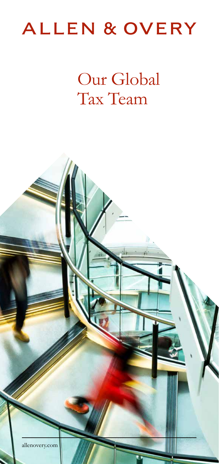# **ALLEN & OVERY**

Our Global Tax Team

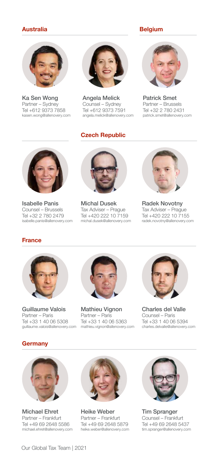### Australia

#### Belgium



Ka Sen Wong Partner – Sydney Tel +612 9373 7858 kasen.wong@allenovery.com



Angela Melick Counsel – Sydney Tel +612 9373 7591 angela.melick@allenovery.com

# Czech Republic



Patrick Smet Partner – Brussels Tel +32 2 780 2431 patrick.smet@allenovery.com



Isabelle Panis Counsel – Brussels Tel +32 2 780 2479 isabelle.panis@allenovery.com



Michal Dusek Tax Adviser – Prague Tel +420 222 10 7159 michal.dusek@allenovery.com



Radek Novotny Tax Adviser – Prague Tel +420 222 10 7155 radek.novotny@allenovery.com

### France



guillaume.valois@allenovery.com mathieu.vignon@allenovery.com Guillaume Valois Partner – Paris Tel +33 1 40 06 5308



Mathieu Vignon Partner – Paris Tel +33 1 40 06 5363



Charles del Valle Counsel – Paris Tel +33 1 40 06 5394 charles.delvalle@allenovery.com





Michael Ehret Partner – Frankfurt Tel +49 69 2648 5586 michael.ehret@allenovery.com



Heike Weber Partner – Frankfurt Tel +49 69 2648 5879 heike.weber@allenovery.com



Tim Spranger Counsel – Frankfurt Tel +49 69 2648 5437 tim.spranger@allenovery.com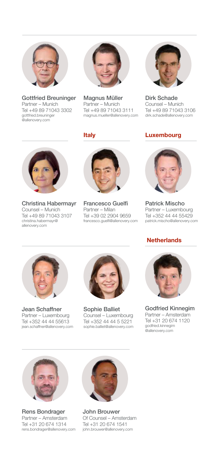

Gottfried Breuninger Partner – Munich Tel +49 89 71043 3302 gottfried.breuninger @allenovery.com



Magnus Müller Partner – Munich Tel +49 89 71043 3111 magnus.mueller@allenovery.com



Dirk Schade Counsel – Munich Tel +49 89 71043 3106 dirk.schade@allenovery.com

# Luxembourg



Christina Habermayr Counsel – Munich Tel +49 89 71043 3107 christina.habermayr@ allenovery.com



Italy

Francesco Guelfi Partner – Milan Tel +39 02 2904 9659 francesco.guelfi@allenovery.com



Patrick Mischo Partner – Luxembourg Tel +352 44 44 55429 patrick.mischo@allenovery.com

# **Netherlands**



Jean Schaffner Partner – Luxembourg Tel +352 44 44 55613 jean.schaffner@allenovery.com



Sophie Balliet Counsel – Luxembourg Tel +352 44 44 5 5221 sophie.balliet@allenovery.com



Godfried Kinnegim Partner – Amsterdam Tel +31 20 674 1120 godfried.kinnegim @allenovery.com



Rens Bondrager Partner – Amsterdam Tel +31 20 674 1314 rens.bondrager@allenovery.com



John Brouwer Of Counsel – Amsterdam Tel +31 20 674 1541 john.brouwer@allenovery.com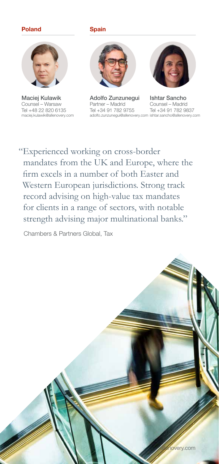### Poland Spain



Maciej Kulawik Counsel – Warsaw Tel +48 22 820 6135 maciej.kulawik@allenovery.com



Ishtar Sancho adolfo.zunzunegui@allenovery.com ishtar.sancho@allenovery.com Adolfo Zunzunegui Partner – Madrid Tel +34 91 782 9755



Counsel – Madrid Tel +34 91 782 9837

"Experienced working on cross-border mandates from the UK and Europe, where the firm excels in a number of both Easter and Western European jurisdictions. Strong track record advising on high-value tax mandates for clients in a range of sectors, with notable strength advising major multinational banks."

Chambers & Partners Global, Tax

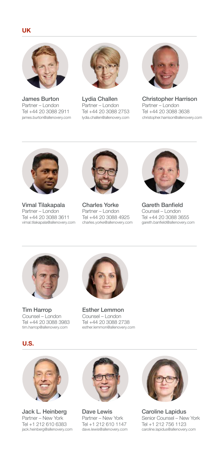

James Burton Partner – London Tel +44 20 3088 2911 james.burton@allenovery.com



Lydia Challen Partner – London Tel +44 20 3088 2753 lydia.challen@allenovery.com



Christopher Harrison Partner – London Tel +44 20 3088 3638 christopher.harrison@allenovery.com



Vimal Tilakapala Partner – London Tel +44 20 3088 3611 vimal.tilakapala@allenovery.com



Charles Yorke Partner – London Tel +44 20 3088 4925 charles.yorke@allenovery.com



Gareth Banfield Counsel – London Tel +44 20 3088 3655 gareth.banfield@allenovery.com



Tim Harrop Counsel – London Tel +44 20 3088 3983 tim.harrop@allenovery.com



Esther Lemmon Counsel – London Tel +44 20 3088 2738 esther.lemmon@allenovery.com



U.S.

Jack L. Heinberg Partner – New York Tel +1 212 610 6383 jack.heinberg@allenovery.com



Dave Lewis Partner – New York Tel +1 212 610 1147 dave.lewis@allenovery.com



Caroline Lapidus Senior Counsel – New York Tel +1 212 756 1123 caroline.lapidus@allenovery.com

## UK